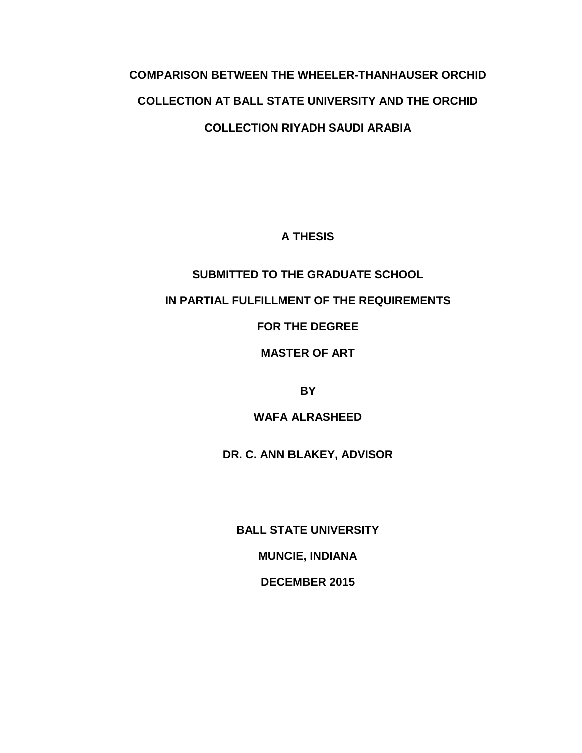# **COMPARISON BETWEEN THE WHEELER-THANHAUSER ORCHID COLLECTION AT BALL STATE UNIVERSITY AND THE ORCHID COLLECTION RIYADH SAUDI ARABIA**

# **A THESIS**

# **SUBMITTED TO THE GRADUATE SCHOOL**

# **IN PARTIAL FULFILLMENT OF THE REQUIREMENTS**

# **FOR THE DEGREE**

# **MASTER OF ART**

**BY**

# **WAFA ALRASHEED**

**DR. C. ANN BLAKEY, ADVISOR**

**BALL STATE UNIVERSITY**

**MUNCIE, INDIANA**

**DECEMBER 2015**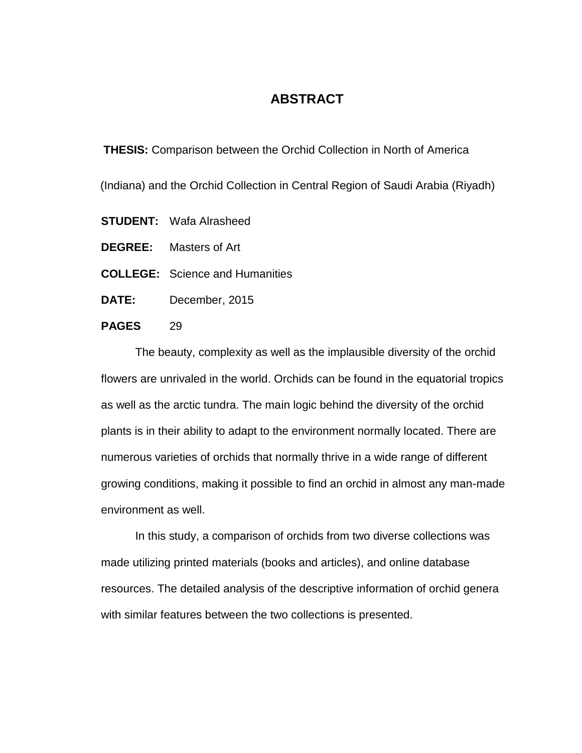# **ABSTRACT**

 **THESIS:** Comparison between the Orchid Collection in North of America

(Indiana) and the Orchid Collection in Central Region of Saudi Arabia (Riyadh)

- **STUDENT:** Wafa Alrasheed
- **DEGREE:** Masters of Art
- **COLLEGE:** Science and Humanities
- **DATE:** December, 2015

# **PAGES** 29

The beauty, complexity as well as the implausible diversity of the orchid flowers are unrivaled in the world. Orchids can be found in the equatorial tropics as well as the arctic tundra. The main logic behind the diversity of the orchid plants is in their ability to adapt to the environment normally located. There are numerous varieties of orchids that normally thrive in a wide range of different growing conditions, making it possible to find an orchid in almost any man-made environment as well.

In this study, a comparison of orchids from two diverse collections was made utilizing printed materials (books and articles), and online database resources. The detailed analysis of the descriptive information of orchid genera with similar features between the two collections is presented.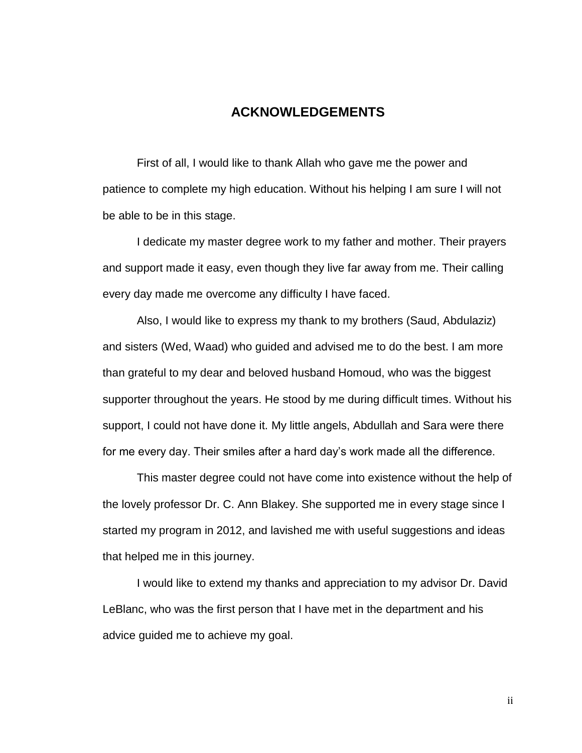# **ACKNOWLEDGEMENTS**

First of all, I would like to thank Allah who gave me the power and patience to complete my high education. Without his helping I am sure I will not be able to be in this stage.

I dedicate my master degree work to my father and mother. Their prayers and support made it easy, even though they live far away from me. Their calling every day made me overcome any difficulty I have faced.

Also, I would like to express my thank to my brothers (Saud, Abdulaziz) and sisters (Wed, Waad) who guided and advised me to do the best. I am more than grateful to my dear and beloved husband Homoud, who was the biggest supporter throughout the years. He stood by me during difficult times. Without his support, I could not have done it. My little angels, Abdullah and Sara were there for me every day. Their smiles after a hard day's work made all the difference.

This master degree could not have come into existence without the help of the lovely professor Dr. C. Ann Blakey. She supported me in every stage since I started my program in 2012, and lavished me with useful suggestions and ideas that helped me in this journey.

I would like to extend my thanks and appreciation to my advisor Dr. David LeBlanc, who was the first person that I have met in the department and his advice guided me to achieve my goal.

ii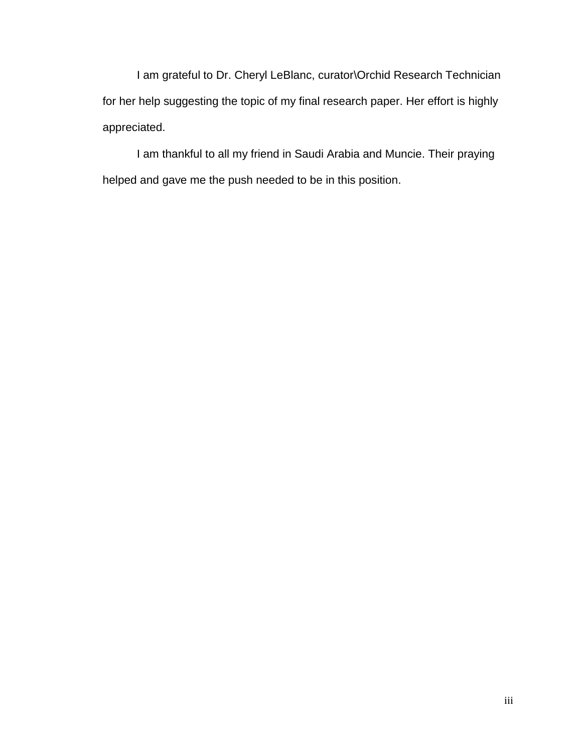I am grateful to Dr. Cheryl LeBlanc, curator\Orchid Research Technician for her help suggesting the topic of my final research paper. Her effort is highly appreciated.

I am thankful to all my friend in Saudi Arabia and Muncie. Their praying helped and gave me the push needed to be in this position.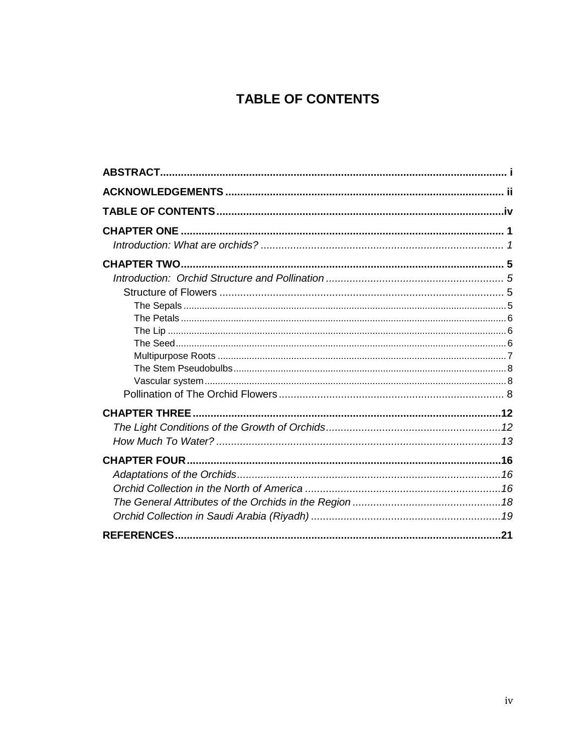# **TABLE OF CONTENTS**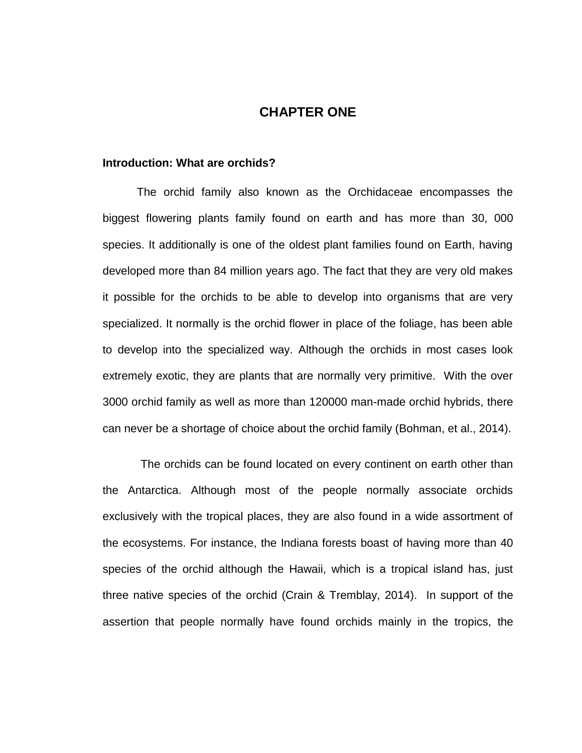# **CHAPTER ONE**

## **Introduction: What are orchids?**

The orchid family also known as the Orchidaceae encompasses the biggest flowering plants family found on earth and has more than 30, 000 species. It additionally is one of the oldest plant families found on Earth, having developed more than 84 million years ago. The fact that they are very old makes it possible for the orchids to be able to develop into organisms that are very specialized. It normally is the orchid flower in place of the foliage, has been able to develop into the specialized way. Although the orchids in most cases look extremely exotic, they are plants that are normally very primitive. With the over 3000 orchid family as well as more than 120000 man-made orchid hybrids, there can never be a shortage of choice about the orchid family (Bohman, et al., 2014).

 The orchids can be found located on every continent on earth other than the Antarctica. Although most of the people normally associate orchids exclusively with the tropical places, they are also found in a wide assortment of the ecosystems. For instance, the Indiana forests boast of having more than 40 species of the orchid although the Hawaii, which is a tropical island has, just three native species of the orchid (Crain & Tremblay, 2014). In support of the assertion that people normally have found orchids mainly in the tropics, the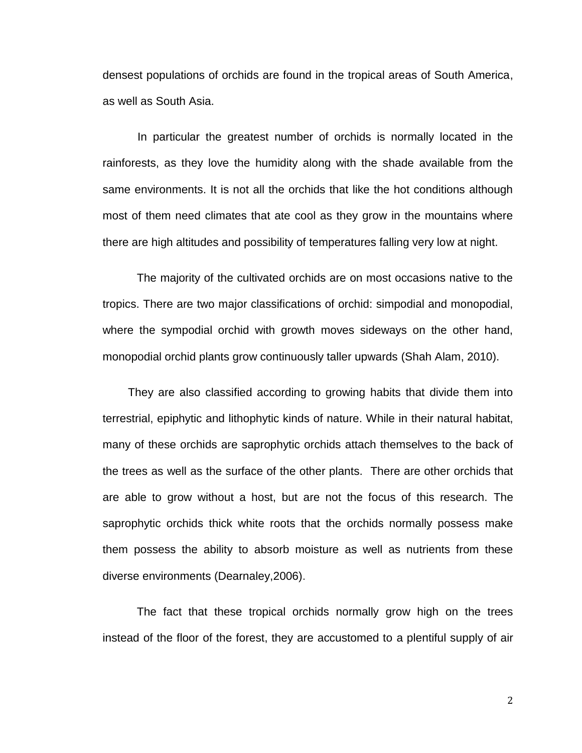densest populations of orchids are found in the tropical areas of South America, as well as South Asia.

 In particular the greatest number of orchids is normally located in the rainforests, as they love the humidity along with the shade available from the same environments. It is not all the orchids that like the hot conditions although most of them need climates that ate cool as they grow in the mountains where there are high altitudes and possibility of temperatures falling very low at night.

The majority of the cultivated orchids are on most occasions native to the tropics. There are two major classifications of orchid: simpodial and monopodial, where the sympodial orchid with growth moves sideways on the other hand, monopodial orchid plants grow continuously taller upwards (Shah Alam, 2010).

 They are also classified according to growing habits that divide them into terrestrial, epiphytic and lithophytic kinds of nature. While in their natural habitat, many of these orchids are saprophytic orchids attach themselves to the back of the trees as well as the surface of the other plants. There are other orchids that are able to grow without a host, but are not the focus of this research. The saprophytic orchids thick white roots that the orchids normally possess make them possess the ability to absorb moisture as well as nutrients from these diverse environments (Dearnaley,2006).

The fact that these tropical orchids normally grow high on the trees instead of the floor of the forest, they are accustomed to a plentiful supply of air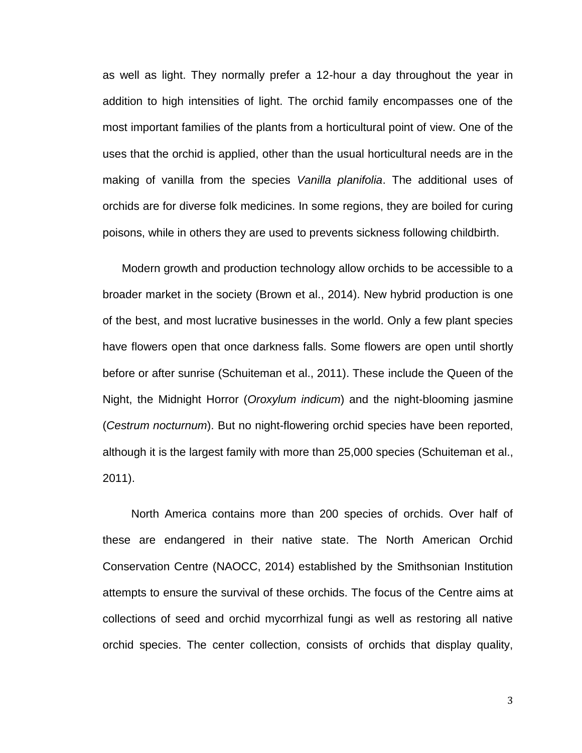as well as light. They normally prefer a 12-hour a day throughout the year in addition to high intensities of light. The orchid family encompasses one of the most important families of the plants from a horticultural point of view. One of the uses that the orchid is applied, other than the usual horticultural needs are in the making of vanilla from the species *Vanilla planifolia*. The additional uses of orchids are for diverse folk medicines. In some regions, they are boiled for curing poisons, while in others they are used to prevents sickness following childbirth.

 Modern growth and production technology allow orchids to be accessible to a broader market in the society (Brown et al., 2014). New hybrid production is one of the best, and most lucrative businesses in the world. Only a few plant species have flowers open that once darkness falls. Some flowers are open until shortly before or after sunrise (Schuiteman et al., 2011). These include the Queen of the Night, the Midnight Horror (*Oroxylum indicum*) and the night-blooming jasmine (*Cestrum nocturnum*). But no night-flowering orchid species have been reported, although it is the largest family with more than 25,000 species (Schuiteman et al., 2011).

North America contains more than 200 species of orchids. Over half of these are endangered in their native state. The North American Orchid Conservation Centre (NAOCC, 2014) established by the Smithsonian Institution attempts to ensure the survival of these orchids. The focus of the Centre aims at collections of seed and orchid mycorrhizal fungi as well as restoring all native orchid species. The center collection, consists of orchids that display quality,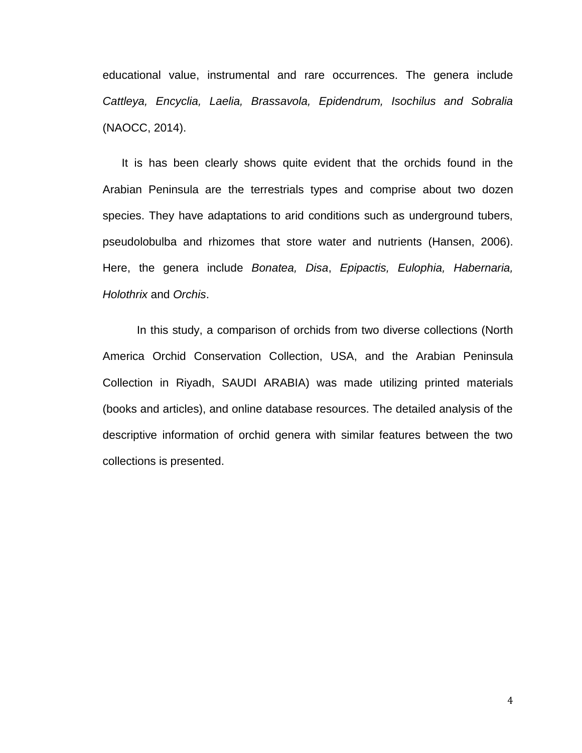educational value, instrumental and rare occurrences. The genera include *Cattleya, Encyclia, Laelia, Brassavola, Epidendrum, Isochilus and Sobralia*  (NAOCC, 2014).

It is has been clearly shows quite evident that the orchids found in the Arabian Peninsula are the terrestrials types and comprise about two dozen species. They have adaptations to arid conditions such as underground tubers, pseudolobulba and rhizomes that store water and nutrients (Hansen, 2006). Here, the genera include *Bonatea, Disa*, *Epipactis, Eulophia, Habernaria, Holothrix* and *Orchis*.

In this study, a comparison of orchids from two diverse collections (North America Orchid Conservation Collection, USA, and the Arabian Peninsula Collection in Riyadh, SAUDI ARABIA) was made utilizing printed materials (books and articles), and online database resources. The detailed analysis of the descriptive information of orchid genera with similar features between the two collections is presented.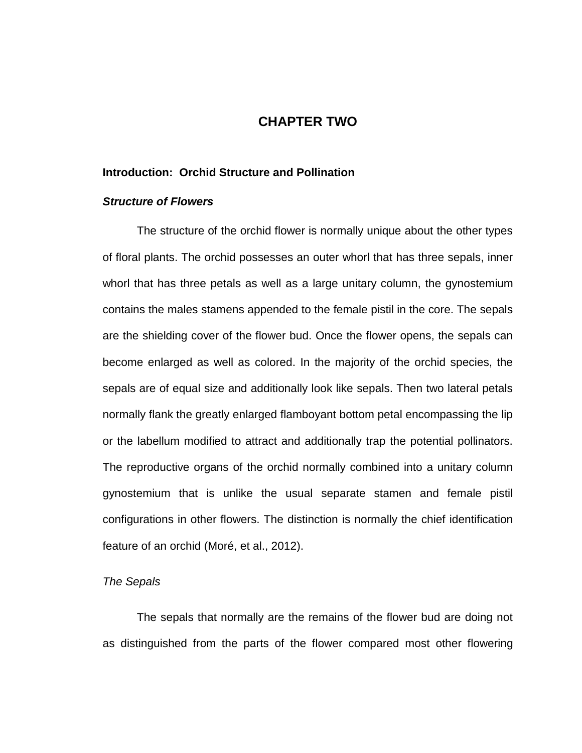# **CHAPTER TWO**

## **Introduction: Orchid Structure and Pollination**

#### *Structure of Flowers*

The structure of the orchid flower is normally unique about the other types of floral plants. The orchid possesses an outer whorl that has three sepals, inner whorl that has three petals as well as a large unitary column, the gynostemium contains the males stamens appended to the female pistil in the core. The sepals are the shielding cover of the flower bud. Once the flower opens, the sepals can become enlarged as well as colored. In the majority of the orchid species, the sepals are of equal size and additionally look like sepals. Then two lateral petals normally flank the greatly enlarged flamboyant bottom petal encompassing the lip or the labellum modified to attract and additionally trap the potential pollinators. The reproductive organs of the orchid normally combined into a unitary column gynostemium that is unlike the usual separate stamen and female pistil configurations in other flowers. The distinction is normally the chief identification feature of an orchid (Moré, et al., 2012).

## *The Sepals*

The sepals that normally are the remains of the flower bud are doing not as distinguished from the parts of the flower compared most other flowering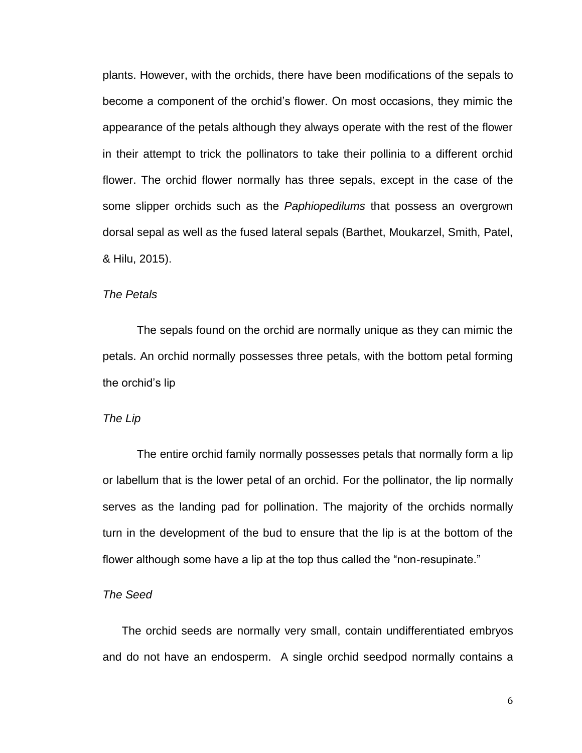plants. However, with the orchids, there have been modifications of the sepals to become a component of the orchid's flower. On most occasions, they mimic the appearance of the petals although they always operate with the rest of the flower in their attempt to trick the pollinators to take their pollinia to a different orchid flower. The orchid flower normally has three sepals, except in the case of the some slipper orchids such as the *Paphiopedilums* that possess an overgrown dorsal sepal as well as the fused lateral sepals (Barthet, Moukarzel, Smith, Patel, & Hilu, 2015).

## *The Petals*

The sepals found on the orchid are normally unique as they can mimic the petals. An orchid normally possesses three petals, with the bottom petal forming the orchid's lip

# *The Lip*

The entire orchid family normally possesses petals that normally form a lip or labellum that is the lower petal of an orchid. For the pollinator, the lip normally serves as the landing pad for pollination. The majority of the orchids normally turn in the development of the bud to ensure that the lip is at the bottom of the flower although some have a lip at the top thus called the "non-resupinate."

## *The Seed*

 The orchid seeds are normally very small, contain undifferentiated embryos and do not have an endosperm. A single orchid seedpod normally contains a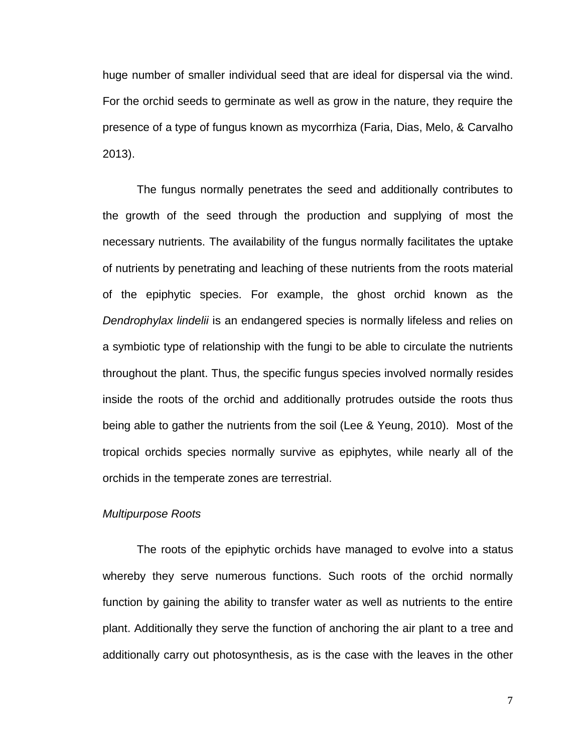huge number of smaller individual seed that are ideal for dispersal via the wind. For the orchid seeds to germinate as well as grow in the nature, they require the presence of a type of fungus known as mycorrhiza (Faria, Dias, Melo, & Carvalho 2013).

The fungus normally penetrates the seed and additionally contributes to the growth of the seed through the production and supplying of most the necessary nutrients. The availability of the fungus normally facilitates the uptake of nutrients by penetrating and leaching of these nutrients from the roots material of the epiphytic species. For example, the ghost orchid known as the *Dendrophylax lindelii* is an endangered species is normally lifeless and relies on a symbiotic type of relationship with the fungi to be able to circulate the nutrients throughout the plant. Thus, the specific fungus species involved normally resides inside the roots of the orchid and additionally protrudes outside the roots thus being able to gather the nutrients from the soil (Lee & Yeung, 2010). Most of the tropical orchids species normally survive as epiphytes, while nearly all of the orchids in the temperate zones are terrestrial.

## *Multipurpose Roots*

The roots of the epiphytic orchids have managed to evolve into a status whereby they serve numerous functions. Such roots of the orchid normally function by gaining the ability to transfer water as well as nutrients to the entire plant. Additionally they serve the function of anchoring the air plant to a tree and additionally carry out photosynthesis, as is the case with the leaves in the other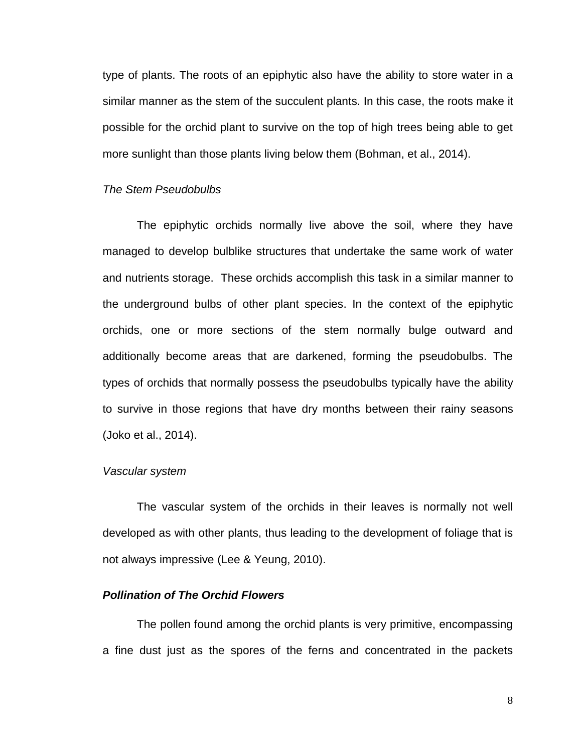type of plants. The roots of an epiphytic also have the ability to store water in a similar manner as the stem of the succulent plants. In this case, the roots make it possible for the orchid plant to survive on the top of high trees being able to get more sunlight than those plants living below them (Bohman, et al., 2014).

## *The Stem Pseudobulbs*

The epiphytic orchids normally live above the soil, where they have managed to develop bulblike structures that undertake the same work of water and nutrients storage. These orchids accomplish this task in a similar manner to the underground bulbs of other plant species. In the context of the epiphytic orchids, one or more sections of the stem normally bulge outward and additionally become areas that are darkened, forming the pseudobulbs. The types of orchids that normally possess the pseudobulbs typically have the ability to survive in those regions that have dry months between their rainy seasons (Joko et al., 2014).

## *Vascular system*

The vascular system of the orchids in their leaves is normally not well developed as with other plants, thus leading to the development of foliage that is not always impressive (Lee & Yeung, 2010).

## *Pollination of The Orchid Flowers*

The pollen found among the orchid plants is very primitive, encompassing a fine dust just as the spores of the ferns and concentrated in the packets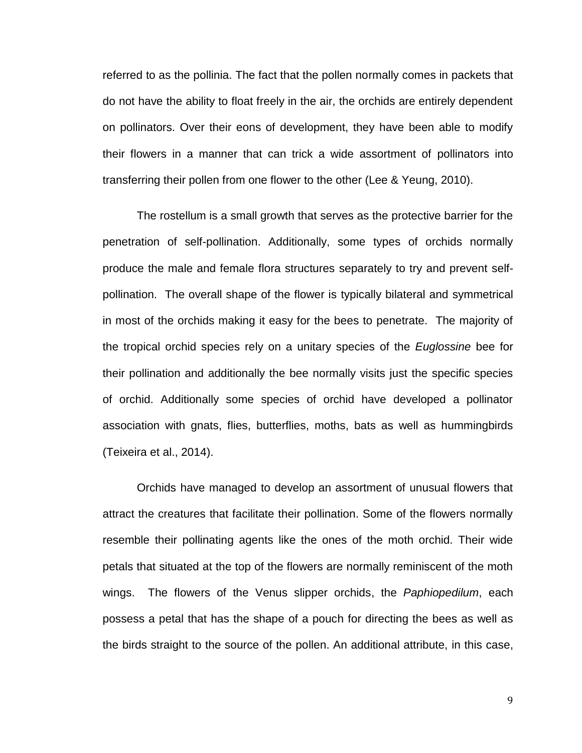referred to as the pollinia. The fact that the pollen normally comes in packets that do not have the ability to float freely in the air, the orchids are entirely dependent on pollinators. Over their eons of development, they have been able to modify their flowers in a manner that can trick a wide assortment of pollinators into transferring their pollen from one flower to the other (Lee & Yeung, 2010).

The rostellum is a small growth that serves as the protective barrier for the penetration of self-pollination. Additionally, some types of orchids normally produce the male and female flora structures separately to try and prevent selfpollination. The overall shape of the flower is typically bilateral and symmetrical in most of the orchids making it easy for the bees to penetrate. The majority of the tropical orchid species rely on a unitary species of the *Euglossine* bee for their pollination and additionally the bee normally visits just the specific species of orchid. Additionally some species of orchid have developed a pollinator association with gnats, flies, butterflies, moths, bats as well as hummingbirds (Teixeira et al., 2014).

Orchids have managed to develop an assortment of unusual flowers that attract the creatures that facilitate their pollination. Some of the flowers normally resemble their pollinating agents like the ones of the moth orchid. Their wide petals that situated at the top of the flowers are normally reminiscent of the moth wings. The flowers of the Venus slipper orchids, the *Paphiopedilum*, each possess a petal that has the shape of a pouch for directing the bees as well as the birds straight to the source of the pollen. An additional attribute, in this case,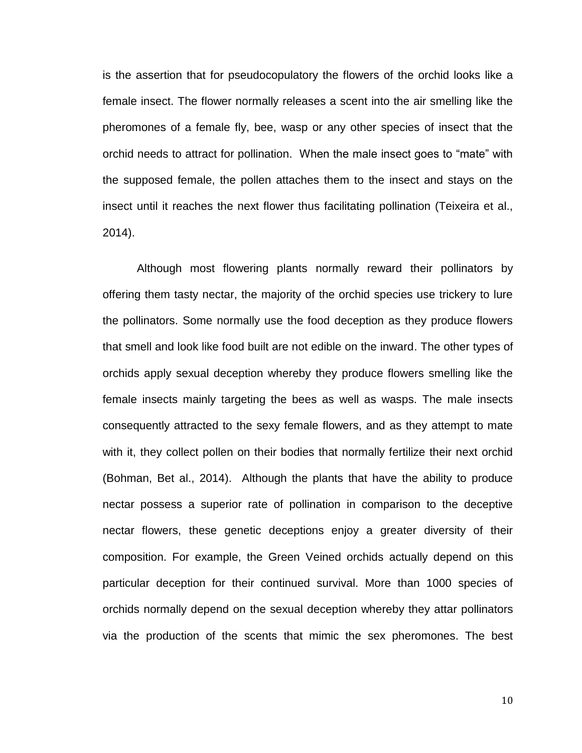is the assertion that for pseudocopulatory the flowers of the orchid looks like a female insect. The flower normally releases a scent into the air smelling like the pheromones of a female fly, bee, wasp or any other species of insect that the orchid needs to attract for pollination. When the male insect goes to "mate" with the supposed female, the pollen attaches them to the insect and stays on the insect until it reaches the next flower thus facilitating pollination (Teixeira et al., 2014).

Although most flowering plants normally reward their pollinators by offering them tasty nectar, the majority of the orchid species use trickery to lure the pollinators. Some normally use the food deception as they produce flowers that smell and look like food built are not edible on the inward. The other types of orchids apply sexual deception whereby they produce flowers smelling like the female insects mainly targeting the bees as well as wasps. The male insects consequently attracted to the sexy female flowers, and as they attempt to mate with it, they collect pollen on their bodies that normally fertilize their next orchid (Bohman, Bet al., 2014). Although the plants that have the ability to produce nectar possess a superior rate of pollination in comparison to the deceptive nectar flowers, these genetic deceptions enjoy a greater diversity of their composition. For example, the Green Veined orchids actually depend on this particular deception for their continued survival. More than 1000 species of orchids normally depend on the sexual deception whereby they attar pollinators via the production of the scents that mimic the sex pheromones. The best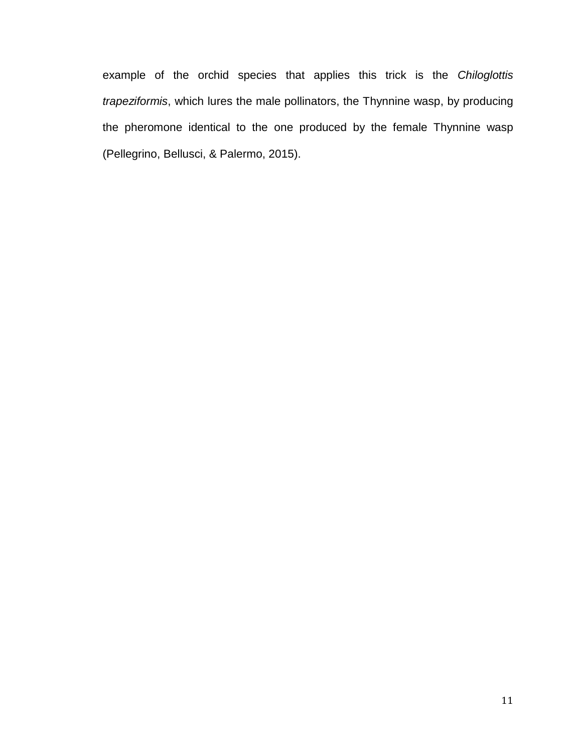example of the orchid species that applies this trick is the *Chiloglottis trapeziformis*, which lures the male pollinators, the Thynnine wasp, by producing the pheromone identical to the one produced by the female Thynnine wasp (Pellegrino, Bellusci, & Palermo, 2015).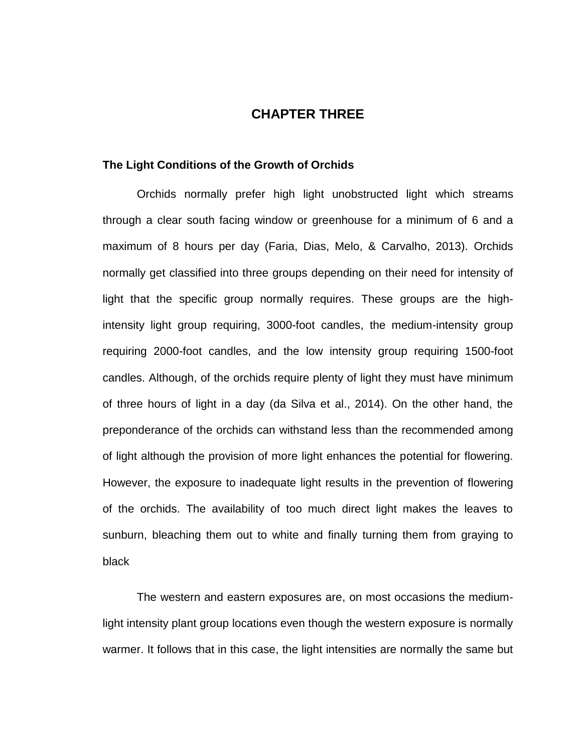# **CHAPTER THREE**

#### **The Light Conditions of the Growth of Orchids**

Orchids normally prefer high light unobstructed light which streams through a clear south facing window or greenhouse for a minimum of 6 and a maximum of 8 hours per day (Faria, Dias, Melo, & Carvalho, 2013). Orchids normally get classified into three groups depending on their need for intensity of light that the specific group normally requires. These groups are the highintensity light group requiring, 3000-foot candles, the medium-intensity group requiring 2000-foot candles, and the low intensity group requiring 1500-foot candles. Although, of the orchids require plenty of light they must have minimum of three hours of light in a day (da Silva et al., 2014). On the other hand, the preponderance of the orchids can withstand less than the recommended among of light although the provision of more light enhances the potential for flowering. However, the exposure to inadequate light results in the prevention of flowering of the orchids. The availability of too much direct light makes the leaves to sunburn, bleaching them out to white and finally turning them from graying to black

The western and eastern exposures are, on most occasions the mediumlight intensity plant group locations even though the western exposure is normally warmer. It follows that in this case, the light intensities are normally the same but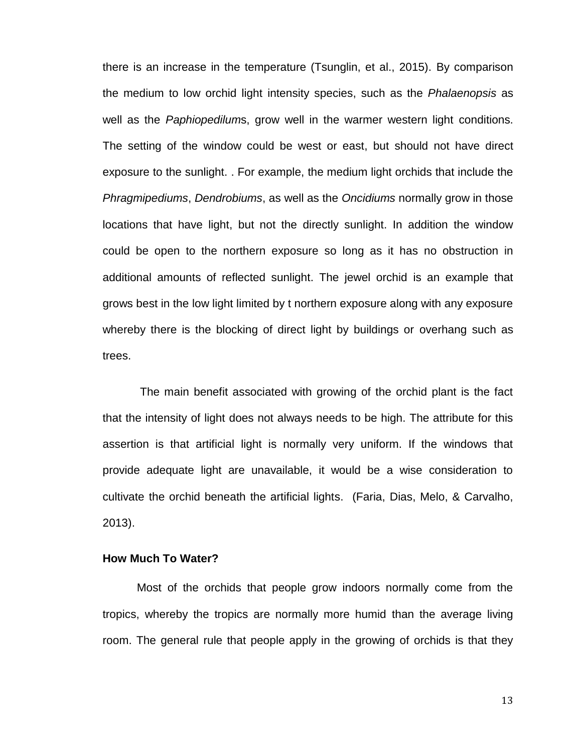there is an increase in the temperature (Tsunglin, et al., 2015). By comparison the medium to low orchid light intensity species, such as the *Phalaenopsis* as well as the *Paphiopedilum*s, grow well in the warmer western light conditions. The setting of the window could be west or east, but should not have direct exposure to the sunlight. . For example, the medium light orchids that include the *Phragmipediums*, *Dendrobiums*, as well as the *Oncidiums* normally grow in those locations that have light, but not the directly sunlight. In addition the window could be open to the northern exposure so long as it has no obstruction in additional amounts of reflected sunlight. The jewel orchid is an example that grows best in the low light limited by t northern exposure along with any exposure whereby there is the blocking of direct light by buildings or overhang such as trees.

The main benefit associated with growing of the orchid plant is the fact that the intensity of light does not always needs to be high. The attribute for this assertion is that artificial light is normally very uniform. If the windows that provide adequate light are unavailable, it would be a wise consideration to cultivate the orchid beneath the artificial lights. (Faria, Dias, Melo, & Carvalho, 2013).

## **How Much To Water?**

Most of the orchids that people grow indoors normally come from the tropics, whereby the tropics are normally more humid than the average living room. The general rule that people apply in the growing of orchids is that they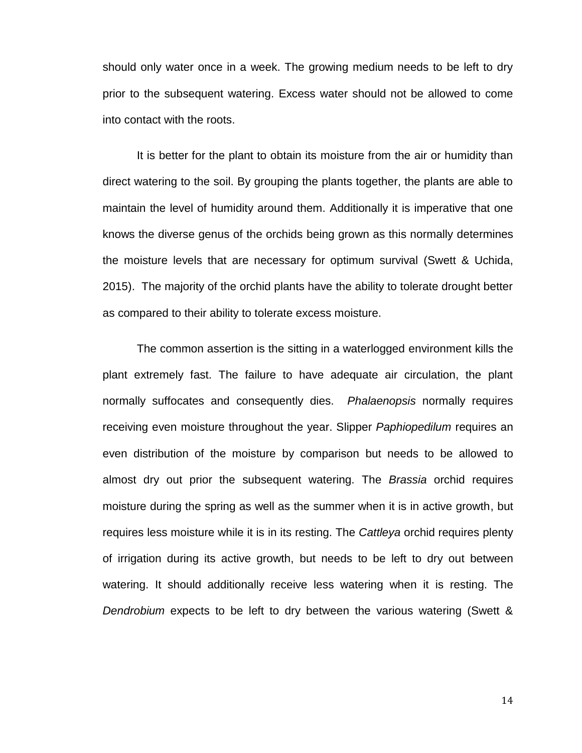should only water once in a week. The growing medium needs to be left to dry prior to the subsequent watering. Excess water should not be allowed to come into contact with the roots.

It is better for the plant to obtain its moisture from the air or humidity than direct watering to the soil. By grouping the plants together, the plants are able to maintain the level of humidity around them. Additionally it is imperative that one knows the diverse genus of the orchids being grown as this normally determines the moisture levels that are necessary for optimum survival (Swett & Uchida, 2015). The majority of the orchid plants have the ability to tolerate drought better as compared to their ability to tolerate excess moisture.

The common assertion is the sitting in a waterlogged environment kills the plant extremely fast. The failure to have adequate air circulation, the plant normally suffocates and consequently dies. *Phalaenopsis* normally requires receiving even moisture throughout the year. Slipper *Paphiopedilum* requires an even distribution of the moisture by comparison but needs to be allowed to almost dry out prior the subsequent watering. The *Brassia* orchid requires moisture during the spring as well as the summer when it is in active growth, but requires less moisture while it is in its resting. The *Cattleya* orchid requires plenty of irrigation during its active growth, but needs to be left to dry out between watering. It should additionally receive less watering when it is resting. The *Dendrobium* expects to be left to dry between the various watering (Swett &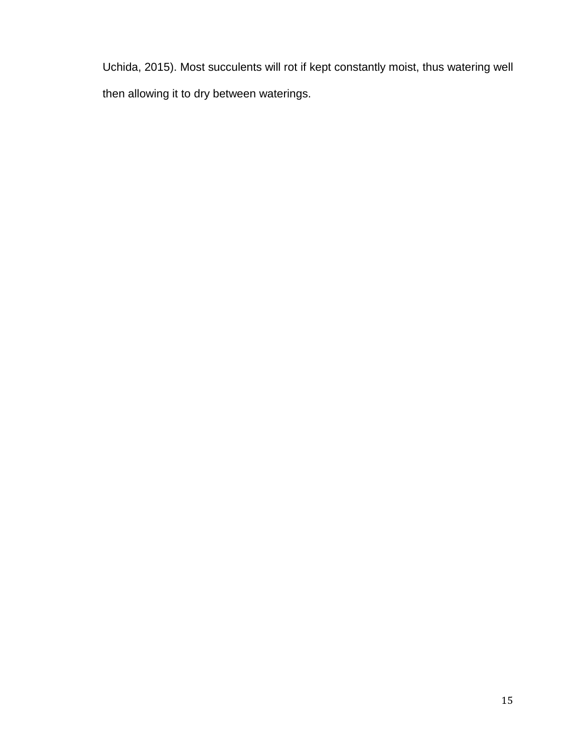Uchida, 2015). Most succulents will rot if kept constantly moist, thus watering well then allowing it to dry between waterings.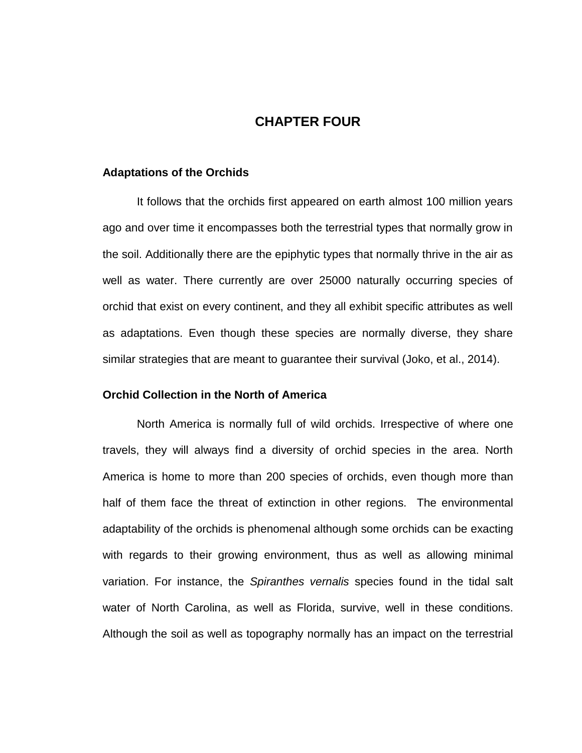# **CHAPTER FOUR**

#### **Adaptations of the Orchids**

It follows that the orchids first appeared on earth almost 100 million years ago and over time it encompasses both the terrestrial types that normally grow in the soil. Additionally there are the epiphytic types that normally thrive in the air as well as water. There currently are over 25000 naturally occurring species of orchid that exist on every continent, and they all exhibit specific attributes as well as adaptations. Even though these species are normally diverse, they share similar strategies that are meant to guarantee their survival (Joko, et al., 2014).

## **Orchid Collection in the North of America**

North America is normally full of wild orchids. Irrespective of where one travels, they will always find a diversity of orchid species in the area. North America is home to more than 200 species of orchids, even though more than half of them face the threat of extinction in other regions. The environmental adaptability of the orchids is phenomenal although some orchids can be exacting with regards to their growing environment, thus as well as allowing minimal variation. For instance, the *Spiranthes vernalis* species found in the tidal salt water of North Carolina, as well as Florida, survive, well in these conditions. Although the soil as well as topography normally has an impact on the terrestrial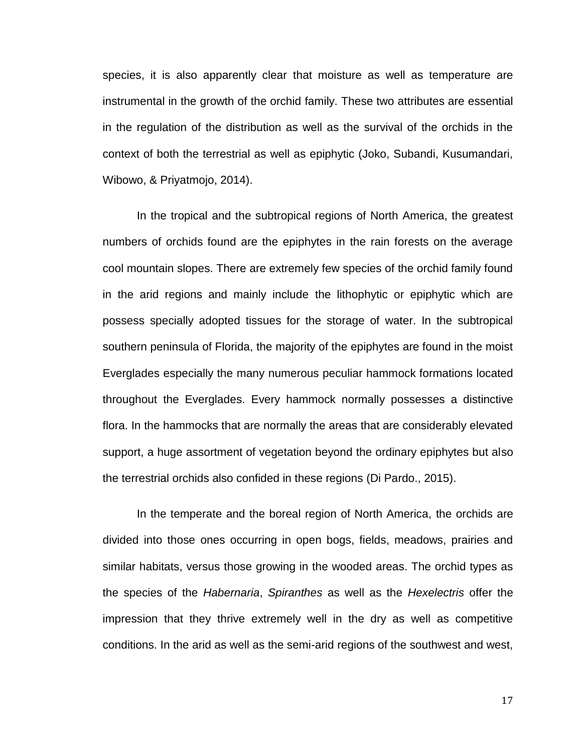species, it is also apparently clear that moisture as well as temperature are instrumental in the growth of the orchid family. These two attributes are essential in the regulation of the distribution as well as the survival of the orchids in the context of both the terrestrial as well as epiphytic (Joko, Subandi, Kusumandari, Wibowo, & Priyatmojo, 2014).

In the tropical and the subtropical regions of North America, the greatest numbers of orchids found are the epiphytes in the rain forests on the average cool mountain slopes. There are extremely few species of the orchid family found in the arid regions and mainly include the lithophytic or epiphytic which are possess specially adopted tissues for the storage of water. In the subtropical southern peninsula of Florida, the majority of the epiphytes are found in the moist Everglades especially the many numerous peculiar hammock formations located throughout the Everglades. Every hammock normally possesses a distinctive flora. In the hammocks that are normally the areas that are considerably elevated support, a huge assortment of vegetation beyond the ordinary epiphytes but also the terrestrial orchids also confided in these regions (Di Pardo., 2015).

In the temperate and the boreal region of North America, the orchids are divided into those ones occurring in open bogs, fields, meadows, prairies and similar habitats, versus those growing in the wooded areas. The orchid types as the species of the *Habernaria*, *Spiranthes* as well as the *Hexelectris* offer the impression that they thrive extremely well in the dry as well as competitive conditions. In the arid as well as the semi-arid regions of the southwest and west,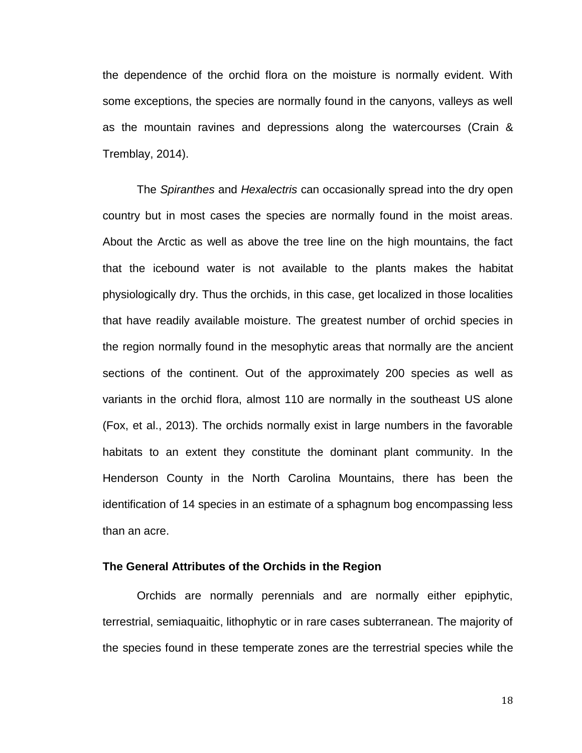the dependence of the orchid flora on the moisture is normally evident. With some exceptions, the species are normally found in the canyons, valleys as well as the mountain ravines and depressions along the watercourses (Crain & Tremblay, 2014).

The *Spiranthes* and *Hexalectris* can occasionally spread into the dry open country but in most cases the species are normally found in the moist areas. About the Arctic as well as above the tree line on the high mountains, the fact that the icebound water is not available to the plants makes the habitat physiologically dry. Thus the orchids, in this case, get localized in those localities that have readily available moisture. The greatest number of orchid species in the region normally found in the mesophytic areas that normally are the ancient sections of the continent. Out of the approximately 200 species as well as variants in the orchid flora, almost 110 are normally in the southeast US alone (Fox, et al., 2013). The orchids normally exist in large numbers in the favorable habitats to an extent they constitute the dominant plant community. In the Henderson County in the North Carolina Mountains, there has been the identification of 14 species in an estimate of a sphagnum bog encompassing less than an acre.

## **The General Attributes of the Orchids in the Region**

Orchids are normally perennials and are normally either epiphytic, terrestrial, semiaquaitic, lithophytic or in rare cases subterranean. The majority of the species found in these temperate zones are the terrestrial species while the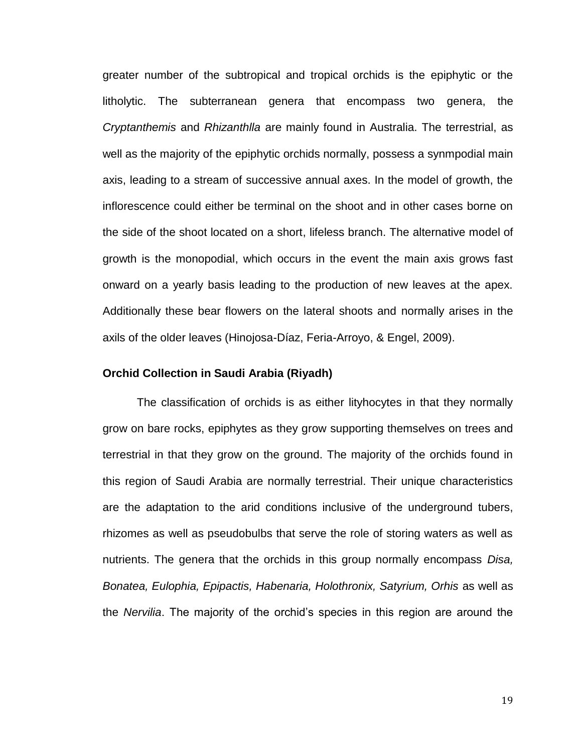greater number of the subtropical and tropical orchids is the epiphytic or the litholytic. The subterranean genera that encompass two genera, the *Cryptanthemis* and *Rhizanthlla* are mainly found in Australia. The terrestrial, as well as the majority of the epiphytic orchids normally, possess a synmpodial main axis, leading to a stream of successive annual axes. In the model of growth, the inflorescence could either be terminal on the shoot and in other cases borne on the side of the shoot located on a short, lifeless branch. The alternative model of growth is the monopodial, which occurs in the event the main axis grows fast onward on a yearly basis leading to the production of new leaves at the apex. Additionally these bear flowers on the lateral shoots and normally arises in the axils of the older leaves (Hinojosa-Díaz, Feria-Arroyo, & Engel, 2009).

## **Orchid Collection in Saudi Arabia (Riyadh)**

The classification of orchids is as either lityhocytes in that they normally grow on bare rocks, epiphytes as they grow supporting themselves on trees and terrestrial in that they grow on the ground. The majority of the orchids found in this region of Saudi Arabia are normally terrestrial. Their unique characteristics are the adaptation to the arid conditions inclusive of the underground tubers, rhizomes as well as pseudobulbs that serve the role of storing waters as well as nutrients. The genera that the orchids in this group normally encompass *Disa, Bonatea, Eulophia, Epipactis, Habenaria, Holothronix, Satyrium, Orhis* as well as the *Nervilia*. The majority of the orchid's species in this region are around the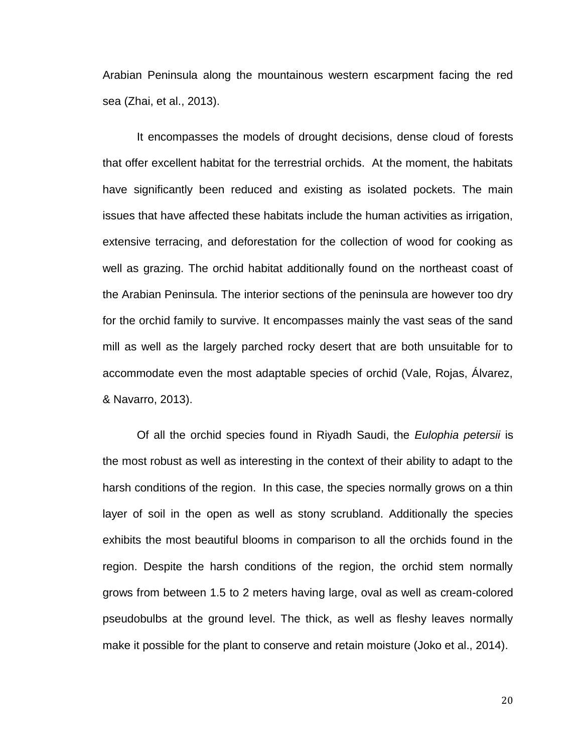Arabian Peninsula along the mountainous western escarpment facing the red sea (Zhai, et al., 2013).

It encompasses the models of drought decisions, dense cloud of forests that offer excellent habitat for the terrestrial orchids. At the moment, the habitats have significantly been reduced and existing as isolated pockets. The main issues that have affected these habitats include the human activities as irrigation, extensive terracing, and deforestation for the collection of wood for cooking as well as grazing. The orchid habitat additionally found on the northeast coast of the Arabian Peninsula. The interior sections of the peninsula are however too dry for the orchid family to survive. It encompasses mainly the vast seas of the sand mill as well as the largely parched rocky desert that are both unsuitable for to accommodate even the most adaptable species of orchid (Vale, Rojas, Álvarez, & Navarro, 2013).

Of all the orchid species found in Riyadh Saudi, the *Eulophia petersii* is the most robust as well as interesting in the context of their ability to adapt to the harsh conditions of the region. In this case, the species normally grows on a thin layer of soil in the open as well as stony scrubland. Additionally the species exhibits the most beautiful blooms in comparison to all the orchids found in the region. Despite the harsh conditions of the region, the orchid stem normally grows from between 1.5 to 2 meters having large, oval as well as cream-colored pseudobulbs at the ground level. The thick, as well as fleshy leaves normally make it possible for the plant to conserve and retain moisture (Joko et al., 2014).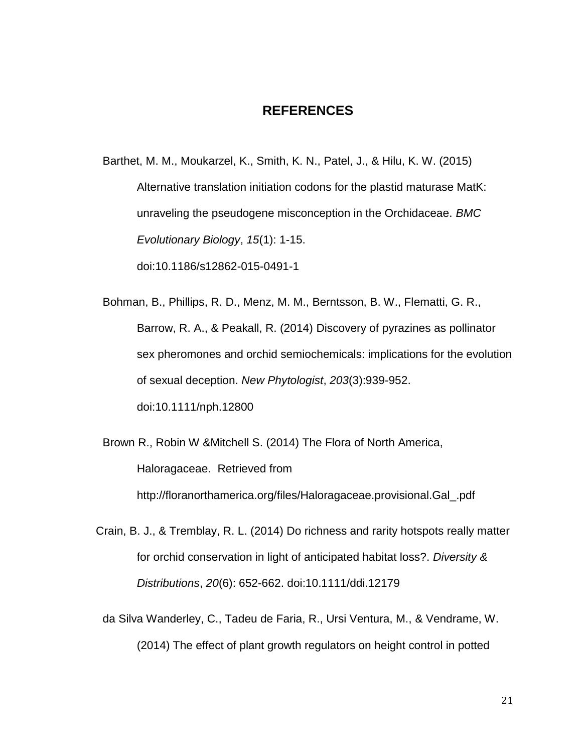# **REFERENCES**

Barthet, M. M., Moukarzel, K., Smith, K. N., Patel, J., & Hilu, K. W. (2015) Alternative translation initiation codons for the plastid maturase MatK: unraveling the pseudogene misconception in the Orchidaceae. *BMC Evolutionary Biology*, *15*(1): 1-15.

doi:10.1186/s12862-015-0491-1

Bohman, B., Phillips, R. D., Menz, M. M., Berntsson, B. W., Flematti, G. R., Barrow, R. A., & Peakall, R. (2014) Discovery of pyrazines as pollinator sex pheromones and orchid semiochemicals: implications for the evolution of sexual deception. *New Phytologist*, *203*(3):939-952. doi:10.1111/nph.12800

Brown R., Robin W &Mitchell S. (2014) The Flora of North America, Haloragaceae. Retrieved from http://floranorthamerica.org/files/Haloragaceae.provisional.Gal\_.pdf

- Crain, B. J., & Tremblay, R. L. (2014) Do richness and rarity hotspots really matter for orchid conservation in light of anticipated habitat loss?. *Diversity & Distributions*, *20*(6): 652-662. doi:10.1111/ddi.12179
	- da Silva Wanderley, C., Tadeu de Faria, R., Ursi Ventura, M., & Vendrame, W. (2014) The effect of plant growth regulators on height control in potted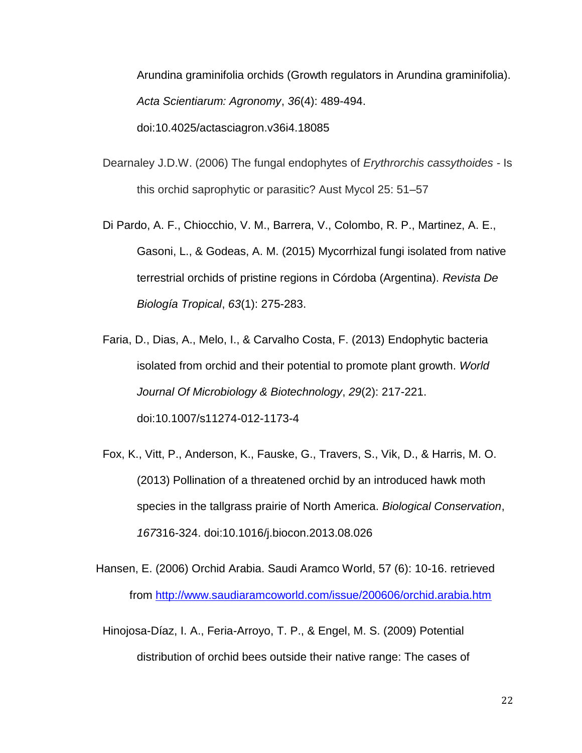Arundina graminifolia orchids (Growth regulators in Arundina graminifolia). *Acta Scientiarum: Agronomy*, *36*(4): 489-494. doi:10.4025/actasciagron.v36i4.18085

- Dearnaley J.D.W. (2006) The fungal endophytes of *Erythrorchis cassythoides -* Is this orchid saprophytic or parasitic? Aust Mycol 25: 51–57
- Di Pardo, A. F., Chiocchio, V. M., Barrera, V., Colombo, R. P., Martinez, A. E., Gasoni, L., & Godeas, A. M. (2015) Mycorrhizal fungi isolated from native terrestrial orchids of pristine regions in Córdoba (Argentina). *Revista De Biología Tropical*, *63*(1): 275-283.
- Faria, D., Dias, A., Melo, I., & Carvalho Costa, F. (2013) Endophytic bacteria isolated from orchid and their potential to promote plant growth. *World Journal Of Microbiology & Biotechnology*, *29*(2): 217-221. doi:10.1007/s11274-012-1173-4
- Fox, K., Vitt, P., Anderson, K., Fauske, G., Travers, S., Vik, D., & Harris, M. O. (2013) Pollination of a threatened orchid by an introduced hawk moth species in the tallgrass prairie of North America. *Biological Conservation*, *167*316-324. doi:10.1016/j.biocon.2013.08.026
- Hansen, E. (2006) Orchid Arabia. Saudi Aramco World, 57 (6): 10-16. retrieved from<http://www.saudiaramcoworld.com/issue/200606/orchid.arabia.htm>
	- Hinojosa-Díaz, I. A., Feria-Arroyo, T. P., & Engel, M. S. (2009) Potential distribution of orchid bees outside their native range: The cases of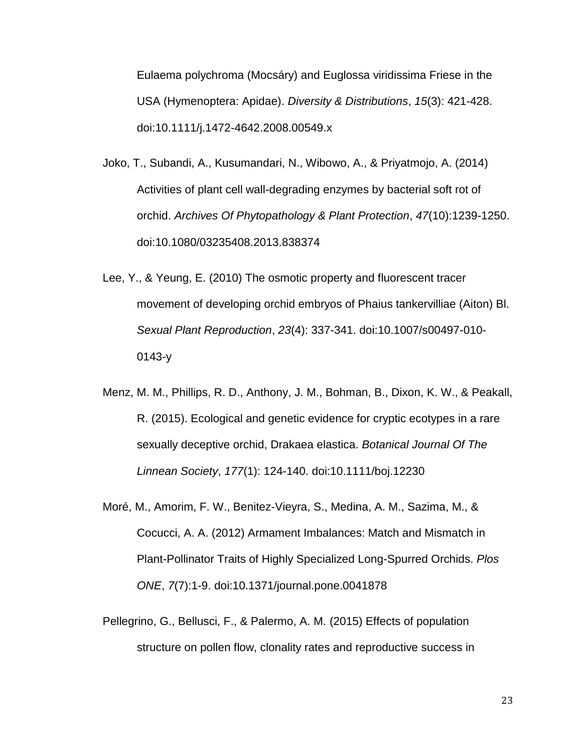Eulaema polychroma (Mocsáry) and Euglossa viridissima Friese in the USA (Hymenoptera: Apidae). *Diversity & Distributions*, *15*(3): 421-428. doi:10.1111/j.1472-4642.2008.00549.x

- Joko, T., Subandi, A., Kusumandari, N., Wibowo, A., & Priyatmojo, A. (2014) Activities of plant cell wall-degrading enzymes by bacterial soft rot of orchid. *Archives Of Phytopathology & Plant Protection*, *47*(10):1239-1250. doi:10.1080/03235408.2013.838374
- Lee, Y., & Yeung, E. (2010) The osmotic property and fluorescent tracer movement of developing orchid embryos of Phaius tankervilliae (Aiton) Bl. *Sexual Plant Reproduction*, *23*(4): 337-341. doi:10.1007/s00497-010- 0143-y
- Menz, M. M., Phillips, R. D., Anthony, J. M., Bohman, B., Dixon, K. W., & Peakall, R. (2015). Ecological and genetic evidence for cryptic ecotypes in a rare sexually deceptive orchid, Drakaea elastica. *Botanical Journal Of The Linnean Society*, *177*(1): 124-140. doi:10.1111/boj.12230
- Moré, M., Amorim, F. W., Benitez-Vieyra, S., Medina, A. M., Sazima, M., & Cocucci, A. A. (2012) Armament Imbalances: Match and Mismatch in Plant-Pollinator Traits of Highly Specialized Long-Spurred Orchids. *Plos ONE*, *7*(7):1-9. doi:10.1371/journal.pone.0041878
- Pellegrino, G., Bellusci, F., & Palermo, A. M. (2015) Effects of population structure on pollen flow, clonality rates and reproductive success in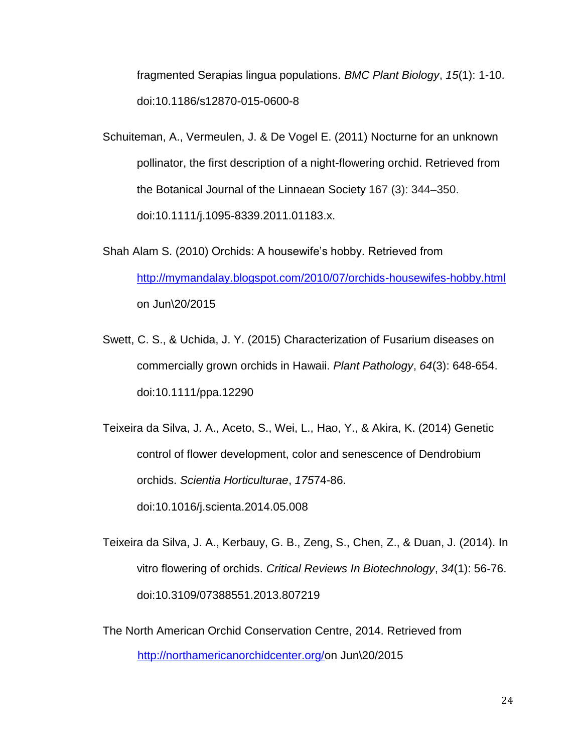fragmented Serapias lingua populations. *BMC Plant Biology*, *15*(1): 1-10. doi:10.1186/s12870-015-0600-8

- Schuiteman, A., Vermeulen, J. & De Vogel E. (2011) Nocturne for an unknown pollinator, the first description of a night-flowering orchid. Retrieved from the Botanical Journal of the Linnaean Society 167 (3): 344–350. [doi](https://en.wikipedia.org/wiki/Digital_object_identifier)[:10.1111/j.1095-8339.2011.01183.x.](https://dx.doi.org/10.1111%2Fj.1095-8339.2011.01183.x)
- Shah Alam S. (2010) Orchids: A housewife's hobby. Retrieved from <http://mymandalay.blogspot.com/2010/07/orchids-housewifes-hobby.html> on Jun\20/2015
- Swett, C. S., & Uchida, J. Y. (2015) Characterization of Fusarium diseases on commercially grown orchids in Hawaii. *Plant Pathology*, *64*(3): 648-654. doi:10.1111/ppa.12290

Teixeira da Silva, J. A., Aceto, S., Wei, L., Hao, Y., & Akira, K. (2014) Genetic control of flower development, color and senescence of Dendrobium orchids. *Scientia Horticulturae*, *175*74-86. doi:10.1016/j.scienta.2014.05.008

Teixeira da Silva, J. A., Kerbauy, G. B., Zeng, S., Chen, Z., & Duan, J. (2014). In vitro flowering of orchids. *Critical Reviews In Biotechnology*, *34*(1): 56-76. doi:10.3109/07388551.2013.807219

The North American Orchid Conservation Centre, 2014. Retrieved from [http://northamericanorchidcenter.org/o](http://northamericanorchidcenter.org/)n Jun\20/2015